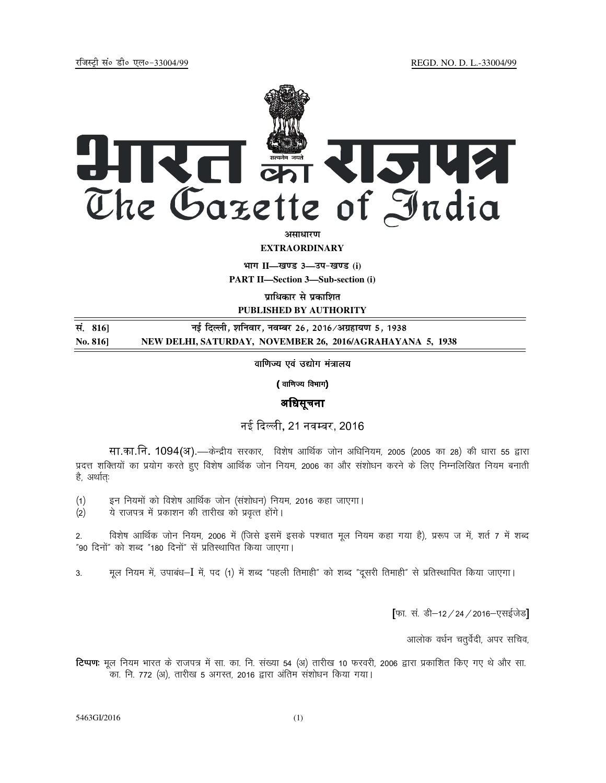

**EXTRAORDINARY**

**Hkkx II—[k.M 3—mi&[k.M (i)**

**PART II—Section 3—Sub-section (i)** 

**प्राधिकार से प्रकाशित PUBLISHED BY AUTHORITY**

**la- 816] ubZ fnYyh] 'kfuokj] uoEcj 26] 2016@vxzgk;.k 5] 1938 No. 816] NEW DELHI, SATURDAY, NOVEMBER 26, 2016/AGRAHAYANA 5, 1938**

वाणिज्य एवं उद्योग मंत्रालय

( वाणिज्य विभाग)

अधिसूचना

नई दली, 21 नवबर, 2016

सा.का.नि. 1094(अ).—केन्द्रीय सरकार, विशेष आर्थिक जोन अधिनियम, 2005 (2005 का 28) की धारा 55 द्वारा प्रदत्त शक्तियों का प्रयोग करते हुए विशेष आर्थिक जोन नियम, 2006 का और संशोधन करने के लिए निम्नलिखित नियम बनाती है, अर्थातः

(1) इन नियमों को विशेष आर्थिक जोन (संशोधन) नियम, 2016 कहा जाएगा।

 $(2)$  ये राजपत्र में प्रकाशन की तारीख को प्रवृत्त होंगे।

2. विशेष आर्थिक जोन नियम, 2006 में (जिसे इसमें इसके पश्चात मूल नियम कहा गया है), प्ररूप ज में, शर्त 7 में शब्द "90 दिनों" को शब्द "180 दिनों" से प्रतिस्थापित किया जाएगा।

3. मूल नियम में, उपाबंध–I में, पद (1) में शब्द "पहली तिमाही" को शब्द "दूसरी तिमाही" से प्रतिस्थापित किया जाएगा।

[फा. सं. डी-12 / 24 / 2016-एसईजेड]

आलोक वर्धन चतुर्वेदी, अपर सचिव,

**टिप्पण:** मूल नियम भारत के राजपत्र में सा. का. नि. संख्या 54 (अ) तारीख 10 फरवरी, 2006 द्वारा प्रकाशित किए गए थे और सा. .<br>का. नि. 772 (अ), तारीख 5 अगस्त, 2016 द्वारा अंतिम संशोधन किया गया।

5463GI/2016 (1)